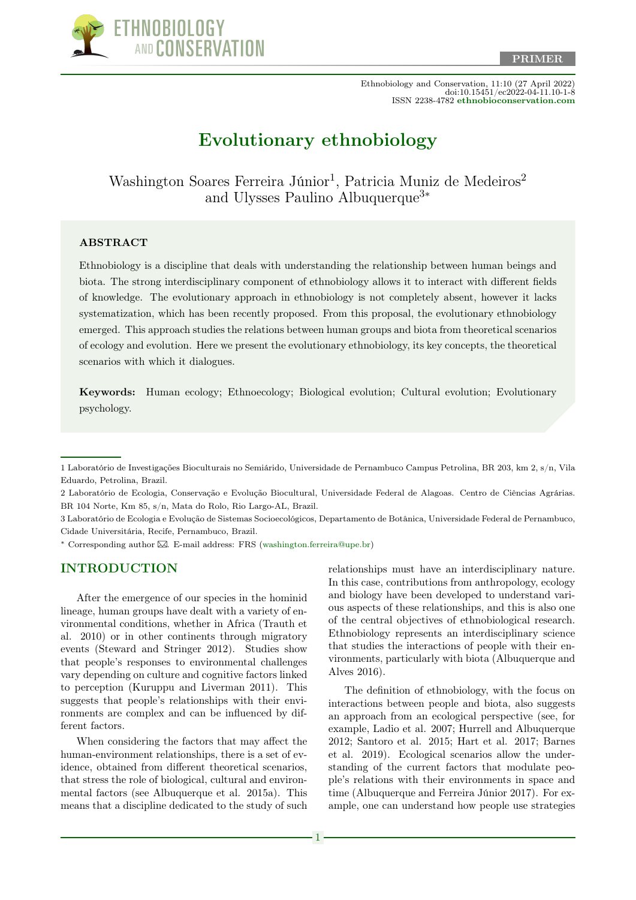

Ethnobiology and Conservation, 11:10 (27 April 2022) doi:10.15451/ec2022-04-11.10-1-8 ISSN 2238-4782 [ethnobioconservation.com](https://ethnobioconservation.com/index.php/ebc)

# [Evolutionary ethnobiology](https://ethnobioconservation.com/index.php/ebc/article/view/642)

Washington Soares Ferreira Júnior<sup>1</sup>, Patricia Muniz de Medeiros<sup>2</sup> and Ulysses Paulino Albuquerque<sup>3∗</sup>

#### **ABSTRACT**

Ethnobiology is a discipline that deals with understanding the relationship between human beings and biota. The strong interdisciplinary component of ethnobiology allows it to interact with different fields of knowledge. The evolutionary approach in ethnobiology is not completely absent, however it lacks systematization, which has been recently proposed. From this proposal, the evolutionary ethnobiology emerged. This approach studies the relations between human groups and biota from theoretical scenarios of ecology and evolution. Here we present the evolutionary ethnobiology, its key concepts, the theoretical scenarios with which it dialogues.

Keywords: Human ecology; Ethnoecology; Biological evolution; Cultural evolution; Evolutionary psychology.

3 Laboratório de Ecologia e Evolução de Sistemas Socioecológicos, Departamento de Botânica, Universidade Federal de Pernambuco, Cidade Universitária, Recife, Pernambuco, Brazil.

<sup>∗</sup> Corresponding author [.](mailto:washington.ferreira@upe.br) E-mail address: FRS [\(washington.ferreira@upe.br\)](mailto:washington.ferreira@upe.br)

#### INTRODUCTION

After the emergence of our species in the hominid lineage, human groups have dealt with a variety of environmental conditions, whether in Africa (Trauth et al. 2010) or in other continents through migratory events (Steward and Stringer 2012). Studies show that people's responses to environmental challenges vary depending on culture and cognitive factors linked to perception (Kuruppu and Liverman 2011). This suggests that people's relationships with their environments are complex and can be influenced by different factors.

When considering the factors that may affect the human-environment relationships, there is a set of evidence, obtained from different theoretical scenarios, that stress the role of biological, cultural and environmental factors (see Albuquerque et al. 2015a). This means that a discipline dedicated to the study of such relationships must have an interdisciplinary nature. In this case, contributions from anthropology, ecology and biology have been developed to understand various aspects of these relationships, and this is also one of the central objectives of ethnobiological research. Ethnobiology represents an interdisciplinary science that studies the interactions of people with their environments, particularly with biota (Albuquerque and Alves 2016).

The definition of ethnobiology, with the focus on interactions between people and biota, also suggests an approach from an ecological perspective (see, for example, Ladio et al. 2007; Hurrell and Albuquerque 2012; Santoro et al. 2015; Hart et al. 2017; Barnes et al. 2019). Ecological scenarios allow the understanding of the current factors that modulate people's relations with their environments in space and time (Albuquerque and Ferreira Júnior 2017). For example, one can understand how people use strategies

<sup>1</sup> Laboratório de Investigações Bioculturais no Semiárido, Universidade de Pernambuco Campus Petrolina, BR 203, km 2, s/n, Vila Eduardo, Petrolina, Brazil.

<sup>2</sup> Laboratório de Ecologia, Conservação e Evolução Biocultural, Universidade Federal de Alagoas. Centro de Ciências Agrárias. BR 104 Norte, Km 85, s/n, Mata do Rolo, Rio Largo-AL, Brazil.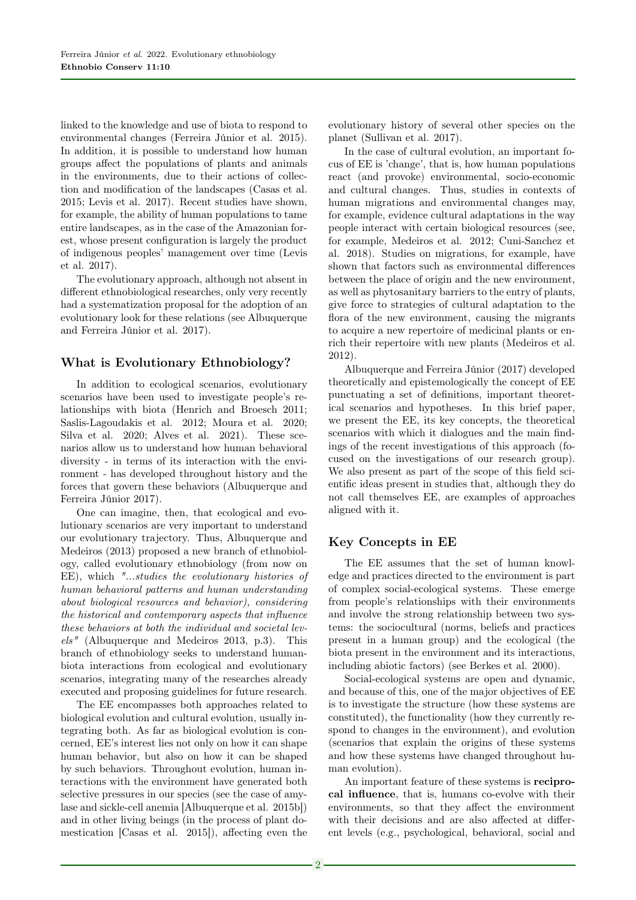linked to the knowledge and use of biota to respond to environmental changes (Ferreira Júnior et al. 2015). In addition, it is possible to understand how human groups affect the populations of plants and animals in the environments, due to their actions of collection and modification of the landscapes (Casas et al. 2015; Levis et al. 2017). Recent studies have shown, for example, the ability of human populations to tame entire landscapes, as in the case of the Amazonian forest, whose present configuration is largely the product of indigenous peoples' management over time (Levis et al. 2017).

The evolutionary approach, although not absent in different ethnobiological researches, only very recently had a systematization proposal for the adoption of an evolutionary look for these relations (see Albuquerque and Ferreira Júnior et al. 2017).

# What is Evolutionary Ethnobiology?

In addition to ecological scenarios, evolutionary scenarios have been used to investigate people's relationships with biota (Henrich and Broesch 2011; Saslis-Lagoudakis et al. 2012; Moura et al. 2020; Silva et al. 2020; Alves et al. 2021). These scenarios allow us to understand how human behavioral diversity - in terms of its interaction with the environment - has developed throughout history and the forces that govern these behaviors (Albuquerque and Ferreira Júnior 2017).

One can imagine, then, that ecological and evolutionary scenarios are very important to understand our evolutionary trajectory. Thus, Albuquerque and Medeiros (2013) proposed a new branch of ethnobiology, called evolutionary ethnobiology (from now on EE), which "...studies the evolutionary histories of human behavioral patterns and human understanding about biological resources and behavior), considering the historical and contemporary aspects that influence these behaviors at both the individual and societal levels" (Albuquerque and Medeiros 2013, p.3). This branch of ethnobiology seeks to understand humanbiota interactions from ecological and evolutionary scenarios, integrating many of the researches already executed and proposing guidelines for future research.

The EE encompasses both approaches related to biological evolution and cultural evolution, usually integrating both. As far as biological evolution is concerned, EE's interest lies not only on how it can shape human behavior, but also on how it can be shaped by such behaviors. Throughout evolution, human interactions with the environment have generated both selective pressures in our species (see the case of amylase and sickle-cell anemia [Albuquerque et al. 2015b]) and in other living beings (in the process of plant domestication [Casas et al. 2015]), affecting even the

evolutionary history of several other species on the planet (Sullivan et al. 2017).

In the case of cultural evolution, an important focus of EE is 'change', that is, how human populations react (and provoke) environmental, socio-economic and cultural changes. Thus, studies in contexts of human migrations and environmental changes may, for example, evidence cultural adaptations in the way people interact with certain biological resources (see, for example, Medeiros et al. 2012; Cuni-Sanchez et al. 2018). Studies on migrations, for example, have shown that factors such as environmental differences between the place of origin and the new environment, as well as phytosanitary barriers to the entry of plants, give force to strategies of cultural adaptation to the flora of the new environment, causing the migrants to acquire a new repertoire of medicinal plants or enrich their repertoire with new plants (Medeiros et al. 2012).

Albuquerque and Ferreira Júnior (2017) developed theoretically and epistemologically the concept of EE punctuating a set of definitions, important theoretical scenarios and hypotheses. In this brief paper, we present the EE, its key concepts, the theoretical scenarios with which it dialogues and the main findings of the recent investigations of this approach (focused on the investigations of our research group). We also present as part of the scope of this field scientific ideas present in studies that, although they do not call themselves EE, are examples of approaches aligned with it.

# Key Concepts in EE

The EE assumes that the set of human knowledge and practices directed to the environment is part of complex social-ecological systems. These emerge from people's relationships with their environments and involve the strong relationship between two systems: the sociocultural (norms, beliefs and practices present in a human group) and the ecological (the biota present in the environment and its interactions, including abiotic factors) (see Berkes et al. 2000).

Social-ecological systems are open and dynamic, and because of this, one of the major objectives of EE is to investigate the structure (how these systems are constituted), the functionality (how they currently respond to changes in the environment), and evolution (scenarios that explain the origins of these systems and how these systems have changed throughout human evolution).

An important feature of these systems is reciprocal influence, that is, humans co-evolve with their environments, so that they affect the environment with their decisions and are also affected at different levels (e.g., psychological, behavioral, social and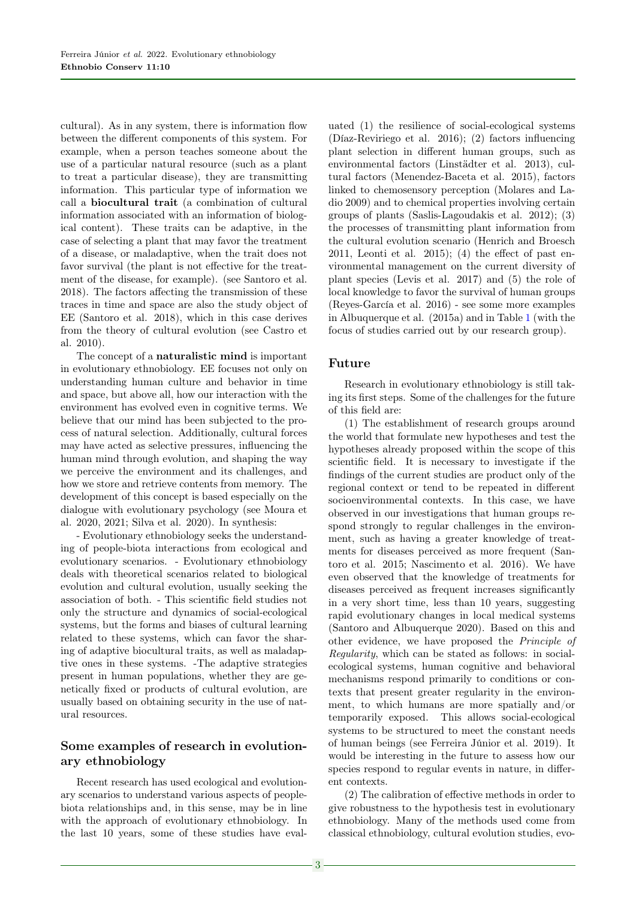cultural). As in any system, there is information flow between the different components of this system. For example, when a person teaches someone about the use of a particular natural resource (such as a plant to treat a particular disease), they are transmitting information. This particular type of information we call a biocultural trait (a combination of cultural information associated with an information of biological content). These traits can be adaptive, in the case of selecting a plant that may favor the treatment of a disease, or maladaptive, when the trait does not favor survival (the plant is not effective for the treatment of the disease, for example). (see Santoro et al. 2018). The factors affecting the transmission of these traces in time and space are also the study object of EE (Santoro et al. 2018), which in this case derives from the theory of cultural evolution (see Castro et al. 2010).

The concept of a naturalistic mind is important in evolutionary ethnobiology. EE focuses not only on understanding human culture and behavior in time and space, but above all, how our interaction with the environment has evolved even in cognitive terms. We believe that our mind has been subjected to the process of natural selection. Additionally, cultural forces may have acted as selective pressures, influencing the human mind through evolution, and shaping the way we perceive the environment and its challenges, and how we store and retrieve contents from memory. The development of this concept is based especially on the dialogue with evolutionary psychology (see Moura et al. 2020, 2021; Silva et al. 2020). In synthesis:

- Evolutionary ethnobiology seeks the understanding of people-biota interactions from ecological and evolutionary scenarios. - Evolutionary ethnobiology deals with theoretical scenarios related to biological evolution and cultural evolution, usually seeking the association of both. - This scientific field studies not only the structure and dynamics of social-ecological systems, but the forms and biases of cultural learning related to these systems, which can favor the sharing of adaptive biocultural traits, as well as maladaptive ones in these systems. -The adaptive strategies present in human populations, whether they are genetically fixed or products of cultural evolution, are usually based on obtaining security in the use of natural resources.

# Some examples of research in evolutionary ethnobiology

Recent research has used ecological and evolutionary scenarios to understand various aspects of peoplebiota relationships and, in this sense, may be in line with the approach of evolutionary ethnobiology. In the last 10 years, some of these studies have evaluated (1) the resilience of social-ecological systems (Díaz-Reviriego et al. 2016); (2) factors influencing plant selection in different human groups, such as environmental factors (Linstädter et al. 2013), cultural factors (Menendez-Baceta et al. 2015), factors linked to chemosensory perception (Molares and Ladio 2009) and to chemical properties involving certain groups of plants (Saslis-Lagoudakis et al. 2012); (3) the processes of transmitting plant information from the cultural evolution scenario (Henrich and Broesch  $2011$ , Leonti et al.  $2015$ ; (4) the effect of past environmental management on the current diversity of plant species (Levis et al. 2017) and (5) the role of local knowledge to favor the survival of human groups (Reyes-García et al. 2016) - see some more examples in Albuquerque et al. (2015a) and in Table [1](#page-7-0) (with the focus of studies carried out by our research group).

# Future

Research in evolutionary ethnobiology is still taking its first steps. Some of the challenges for the future of this field are:

(1) The establishment of research groups around the world that formulate new hypotheses and test the hypotheses already proposed within the scope of this scientific field. It is necessary to investigate if the findings of the current studies are product only of the regional context or tend to be repeated in different socioenvironmental contexts. In this case, we have observed in our investigations that human groups respond strongly to regular challenges in the environment, such as having a greater knowledge of treatments for diseases perceived as more frequent (Santoro et al. 2015; Nascimento et al. 2016). We have even observed that the knowledge of treatments for diseases perceived as frequent increases significantly in a very short time, less than 10 years, suggesting rapid evolutionary changes in local medical systems (Santoro and Albuquerque 2020). Based on this and other evidence, we have proposed the Principle of Regularity, which can be stated as follows: in socialecological systems, human cognitive and behavioral mechanisms respond primarily to conditions or contexts that present greater regularity in the environment, to which humans are more spatially and/or temporarily exposed. This allows social-ecological systems to be structured to meet the constant needs of human beings (see Ferreira Júnior et al. 2019). It would be interesting in the future to assess how our species respond to regular events in nature, in different contexts.

(2) The calibration of effective methods in order to give robustness to the hypothesis test in evolutionary ethnobiology. Many of the methods used come from classical ethnobiology, cultural evolution studies, evo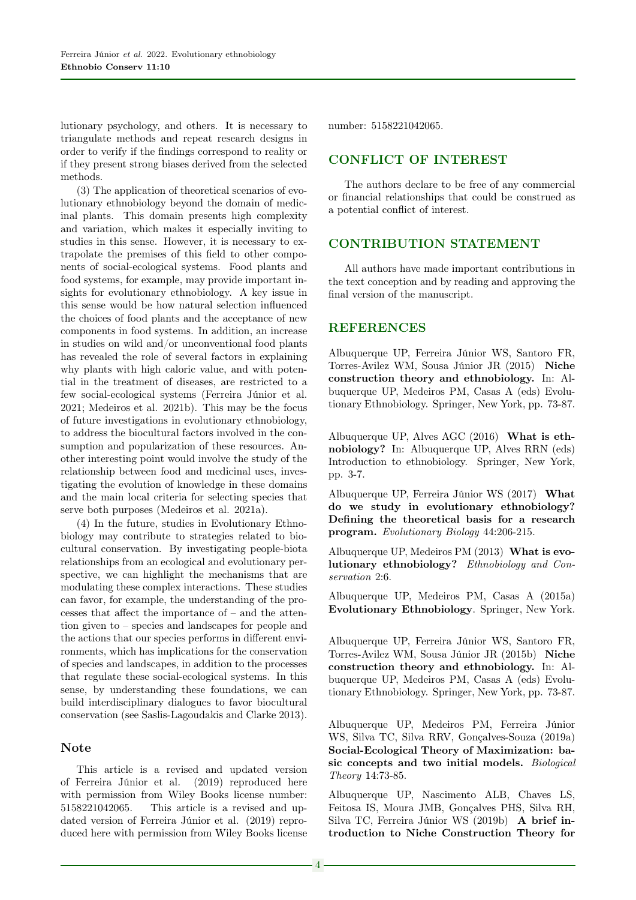lutionary psychology, and others. It is necessary to triangulate methods and repeat research designs in order to verify if the findings correspond to reality or if they present strong biases derived from the selected methods.

(3) The application of theoretical scenarios of evolutionary ethnobiology beyond the domain of medicinal plants. This domain presents high complexity and variation, which makes it especially inviting to studies in this sense. However, it is necessary to extrapolate the premises of this field to other components of social-ecological systems. Food plants and food systems, for example, may provide important insights for evolutionary ethnobiology. A key issue in this sense would be how natural selection influenced the choices of food plants and the acceptance of new components in food systems. In addition, an increase in studies on wild and/or unconventional food plants has revealed the role of several factors in explaining why plants with high caloric value, and with potential in the treatment of diseases, are restricted to a few social-ecological systems (Ferreira Júnior et al. 2021; Medeiros et al. 2021b). This may be the focus of future investigations in evolutionary ethnobiology, to address the biocultural factors involved in the consumption and popularization of these resources. Another interesting point would involve the study of the relationship between food and medicinal uses, investigating the evolution of knowledge in these domains and the main local criteria for selecting species that serve both purposes (Medeiros et al. 2021a).

(4) In the future, studies in Evolutionary Ethnobiology may contribute to strategies related to biocultural conservation. By investigating people-biota relationships from an ecological and evolutionary perspective, we can highlight the mechanisms that are modulating these complex interactions. These studies can favor, for example, the understanding of the processes that affect the importance of – and the attention given to – species and landscapes for people and the actions that our species performs in different environments, which has implications for the conservation of species and landscapes, in addition to the processes that regulate these social-ecological systems. In this sense, by understanding these foundations, we can build interdisciplinary dialogues to favor biocultural conservation (see Saslis-Lagoudakis and Clarke 2013).

## Note

This article is a revised and updated version of Ferreira Júnior et al. (2019) reproduced here with permission from Wiley Books license number: 5158221042065. This article is a revised and updated version of Ferreira Júnior et al. (2019) reproduced here with permission from Wiley Books license

number: 5158221042065.

## CONFLICT OF INTEREST

The authors declare to be free of any commercial or financial relationships that could be construed as a potential conflict of interest.

#### CONTRIBUTION STATEMENT

All authors have made important contributions in the text conception and by reading and approving the final version of the manuscript.

#### REFERENCES

Albuquerque UP, Ferreira Júnior WS, Santoro FR, Torres-Avilez WM, Sousa Júnior JR (2015) Niche construction theory and ethnobiology. In: Albuquerque UP, Medeiros PM, Casas A (eds) Evolutionary Ethnobiology. Springer, New York, pp. 73-87.

Albuquerque UP, Alves AGC (2016) What is ethnobiology? In: Albuquerque UP, Alves RRN (eds) Introduction to ethnobiology. Springer, New York, pp. 3-7.

Albuquerque UP, Ferreira Júnior WS (2017) What do we study in evolutionary ethnobiology? Defining the theoretical basis for a research program. Evolutionary Biology 44:206-215.

Albuquerque UP, Medeiros PM (2013) What is evolutionary ethnobiology? Ethnobiology and Conservation 2:6.

Albuquerque UP, Medeiros PM, Casas A (2015a) Evolutionary Ethnobiology. Springer, New York.

Albuquerque UP, Ferreira Júnior WS, Santoro FR, Torres-Avilez WM, Sousa Júnior JR (2015b) Niche construction theory and ethnobiology. In: Albuquerque UP, Medeiros PM, Casas A (eds) Evolutionary Ethnobiology. Springer, New York, pp. 73-87.

Albuquerque UP, Medeiros PM, Ferreira Júnior WS, Silva TC, Silva RRV, Gonçalves-Souza (2019a) Social-Ecological Theory of Maximization: basic concepts and two initial models. Biological Theory 14:73-85.

Albuquerque UP, Nascimento ALB, Chaves LS, Feitosa IS, Moura JMB, Gonçalves PHS, Silva RH, Silva TC, Ferreira Júnior WS (2019b) A brief introduction to Niche Construction Theory for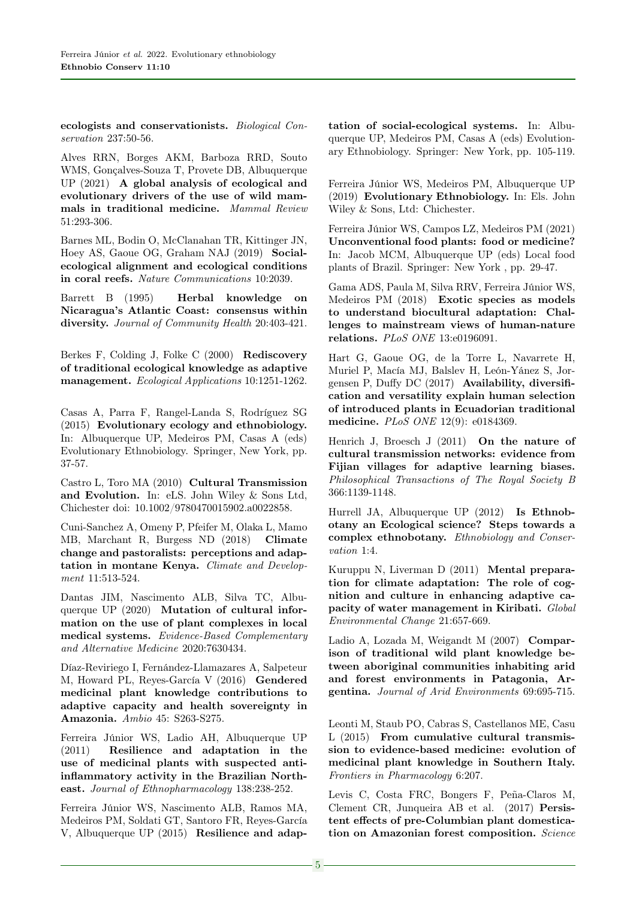ecologists and conservationists. Biological Conservation 237:50-56.

Alves RRN, Borges AKM, Barboza RRD, Souto WMS, Gonçalves-Souza T, Provete DB, Albuquerque UP (2021) A global analysis of ecological and evolutionary drivers of the use of wild mammals in traditional medicine. Mammal Review 51:293-306.

Barnes ML, Bodin O, McClanahan TR, Kittinger JN, Hoey AS, Gaoue OG, Graham NAJ (2019) Socialecological alignment and ecological conditions in coral reefs. Nature Communications 10:2039.

Barrett B (1995) Herbal knowledge on Nicaragua's Atlantic Coast: consensus within diversity. Journal of Community Health 20:403-421.

Berkes F, Colding J, Folke C (2000) Rediscovery of traditional ecological knowledge as adaptive management. Ecological Applications 10:1251-1262.

Casas A, Parra F, Rangel-Landa S, Rodríguez SG (2015) Evolutionary ecology and ethnobiology. In: Albuquerque UP, Medeiros PM, Casas A (eds) Evolutionary Ethnobiology. Springer, New York, pp. 37-57.

Castro L, Toro MA (2010) Cultural Transmission and Evolution. In: eLS. John Wiley & Sons Ltd, Chichester doi: 10.1002/9780470015902.a0022858.

Cuni-Sanchez A, Omeny P, Pfeifer M, Olaka L, Mamo MB, Marchant R, Burgess ND (2018) Climate change and pastoralists: perceptions and adaptation in montane Kenya. Climate and Development 11:513-524.

Dantas JIM, Nascimento ALB, Silva TC, Albuquerque UP (2020) Mutation of cultural information on the use of plant complexes in local medical systems. Evidence-Based Complementary and Alternative Medicine 2020:7630434.

Díaz-Reviriego I, Fernández-Llamazares A, Salpeteur M, Howard PL, Reyes-García V (2016) Gendered medicinal plant knowledge contributions to adaptive capacity and health sovereignty in Amazonia. Ambio 45: S263-S275.

Ferreira Júnior WS, Ladio AH, Albuquerque UP (2011) Resilience and adaptation in the use of medicinal plants with suspected antiinflammatory activity in the Brazilian Northeast. Journal of Ethnopharmacology 138:238-252.

Ferreira Júnior WS, Nascimento ALB, Ramos MA, Medeiros PM, Soldati GT, Santoro FR, Reyes-García V, Albuquerque UP (2015) Resilience and adaptation of social-ecological systems. In: Albuquerque UP, Medeiros PM, Casas A (eds) Evolutionary Ethnobiology. Springer: New York, pp. 105-119.

Ferreira Júnior WS, Medeiros PM, Albuquerque UP (2019) Evolutionary Ethnobiology. In: Els. John Wiley & Sons, Ltd: Chichester.

Ferreira Júnior WS, Campos LZ, Medeiros PM (2021) Unconventional food plants: food or medicine? In: Jacob MCM, Albuquerque UP (eds) Local food plants of Brazil. Springer: New York , pp. 29-47.

Gama ADS, Paula M, Silva RRV, Ferreira Júnior WS, Medeiros PM (2018) Exotic species as models to understand biocultural adaptation: Challenges to mainstream views of human-nature relations. PLoS ONE 13:e0196091.

Hart G, Gaoue OG, de la Torre L, Navarrete H, Muriel P, Macía MJ, Balslev H, León-Yánez S, Jorgensen P, Duffy DC (2017) Availability, diversification and versatility explain human selection of introduced plants in Ecuadorian traditional medicine. PLoS ONE 12(9): e0184369.

Henrich J, Broesch J (2011) On the nature of cultural transmission networks: evidence from Fijian villages for adaptive learning biases. Philosophical Transactions of The Royal Society B 366:1139-1148.

Hurrell JA, Albuquerque UP (2012) Is Ethnobotany an Ecological science? Steps towards a complex ethnobotany. Ethnobiology and Conservation 1:4.

Kuruppu N, Liverman D (2011) Mental preparation for climate adaptation: The role of cognition and culture in enhancing adaptive capacity of water management in Kiribati. Global Environmental Change 21:657-669.

Ladio A, Lozada M, Weigandt M (2007) Comparison of traditional wild plant knowledge between aboriginal communities inhabiting arid and forest environments in Patagonia, Argentina. Journal of Arid Environments 69:695-715.

Leonti M, Staub PO, Cabras S, Castellanos ME, Casu L (2015) From cumulative cultural transmission to evidence-based medicine: evolution of medicinal plant knowledge in Southern Italy. Frontiers in Pharmacology 6:207.

Levis C, Costa FRC, Bongers F, Peña-Claros M, Clement CR, Junqueira AB et al. (2017) Persistent effects of pre-Columbian plant domestication on Amazonian forest composition. Science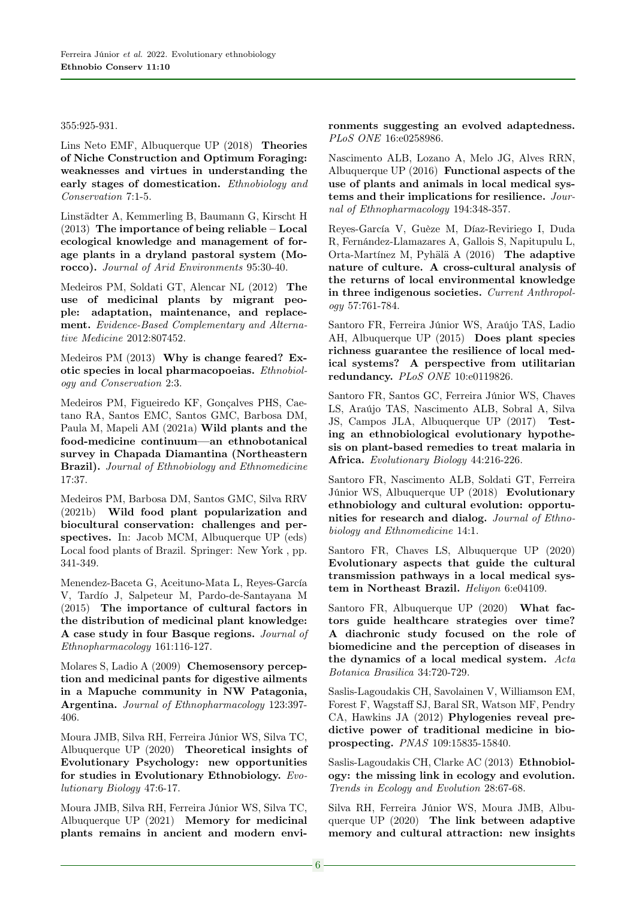355:925-931.

Lins Neto EMF, Albuquerque UP (2018) Theories of Niche Construction and Optimum Foraging: weaknesses and virtues in understanding the early stages of domestication. Ethnobiology and Conservation 7:1-5.

Linstädter A, Kemmerling B, Baumann G, Kirscht H (2013) The importance of being reliable – Local ecological knowledge and management of forage plants in a dryland pastoral system (Morocco). Journal of Arid Environments 95:30-40.

Medeiros PM, Soldati GT, Alencar NL (2012) The use of medicinal plants by migrant people: adaptation, maintenance, and replacement. Evidence-Based Complementary and Alternative Medicine 2012:807452.

Medeiros PM (2013) Why is change feared? Exotic species in local pharmacopoeias. Ethnobiology and Conservation 2:3.

Medeiros PM, Figueiredo KF, Gonçalves PHS, Caetano RA, Santos EMC, Santos GMC, Barbosa DM, Paula M, Mapeli AM (2021a) Wild plants and the food-medicine continuum—an ethnobotanical survey in Chapada Diamantina (Northeastern Brazil). Journal of Ethnobiology and Ethnomedicine 17:37.

Medeiros PM, Barbosa DM, Santos GMC, Silva RRV (2021b) Wild food plant popularization and biocultural conservation: challenges and perspectives. In: Jacob MCM, Albuquerque UP (eds) Local food plants of Brazil. Springer: New York , pp. 341-349.

Menendez-Baceta G, Aceituno-Mata L, Reyes-García V, Tardío J, Salpeteur M, Pardo-de-Santayana M (2015) The importance of cultural factors in the distribution of medicinal plant knowledge: A case study in four Basque regions. Journal of Ethnopharmacology 161:116-127.

Molares S, Ladio A (2009) Chemosensory perception and medicinal pants for digestive ailments in a Mapuche community in NW Patagonia, Argentina. Journal of Ethnopharmacology 123:397- 406.

Moura JMB, Silva RH, Ferreira Júnior WS, Silva TC, Albuquerque UP (2020) Theoretical insights of Evolutionary Psychology: new opportunities for studies in Evolutionary Ethnobiology. Evolutionary Biology 47:6-17.

Moura JMB, Silva RH, Ferreira Júnior WS, Silva TC, Albuquerque UP (2021) Memory for medicinal plants remains in ancient and modern environments suggesting an evolved adaptedness. PLoS ONE 16:e0258986.

Nascimento ALB, Lozano A, Melo JG, Alves RRN, Albuquerque UP (2016) Functional aspects of the use of plants and animals in local medical systems and their implications for resilience. Journal of Ethnopharmacology 194:348-357.

Reyes-García V, Guèze M, Díaz-Reviriego I, Duda R, Fernández-Llamazares A, Gallois S, Napitupulu L, Orta-Martínez M, Pyhälä A (2016) The adaptive nature of culture. A cross-cultural analysis of the returns of local environmental knowledge in three indigenous societies. Current Anthropology 57:761-784.

Santoro FR, Ferreira Júnior WS, Araújo TAS, Ladio AH, Albuquerque UP (2015) Does plant species richness guarantee the resilience of local medical systems? A perspective from utilitarian redundancy. PLoS ONE 10:e0119826.

Santoro FR, Santos GC, Ferreira Júnior WS, Chaves LS, Araújo TAS, Nascimento ALB, Sobral A, Silva JS, Campos JLA, Albuquerque UP (2017) Testing an ethnobiological evolutionary hypothesis on plant-based remedies to treat malaria in Africa. Evolutionary Biology 44:216-226.

Santoro FR, Nascimento ALB, Soldati GT, Ferreira Júnior WS, Albuquerque UP (2018) Evolutionary ethnobiology and cultural evolution: opportunities for research and dialog. Journal of Ethnobiology and Ethnomedicine 14:1.

Santoro FR, Chaves LS, Albuquerque UP (2020) Evolutionary aspects that guide the cultural transmission pathways in a local medical system in Northeast Brazil. Heliyon 6:e04109.

Santoro FR, Albuquerque UP (2020) What factors guide healthcare strategies over time? A diachronic study focused on the role of biomedicine and the perception of diseases in the dynamics of a local medical system. Acta Botanica Brasilica 34:720-729.

Saslis-Lagoudakis CH, Savolainen V, Williamson EM, Forest F, Wagstaff SJ, Baral SR, Watson MF, Pendry CA, Hawkins JA (2012) Phylogenies reveal predictive power of traditional medicine in bioprospecting. PNAS 109:15835-15840.

Saslis-Lagoudakis CH, Clarke AC (2013) Ethnobiology: the missing link in ecology and evolution. Trends in Ecology and Evolution 28:67-68.

Silva RH, Ferreira Júnior WS, Moura JMB, Albuquerque UP (2020) The link between adaptive memory and cultural attraction: new insights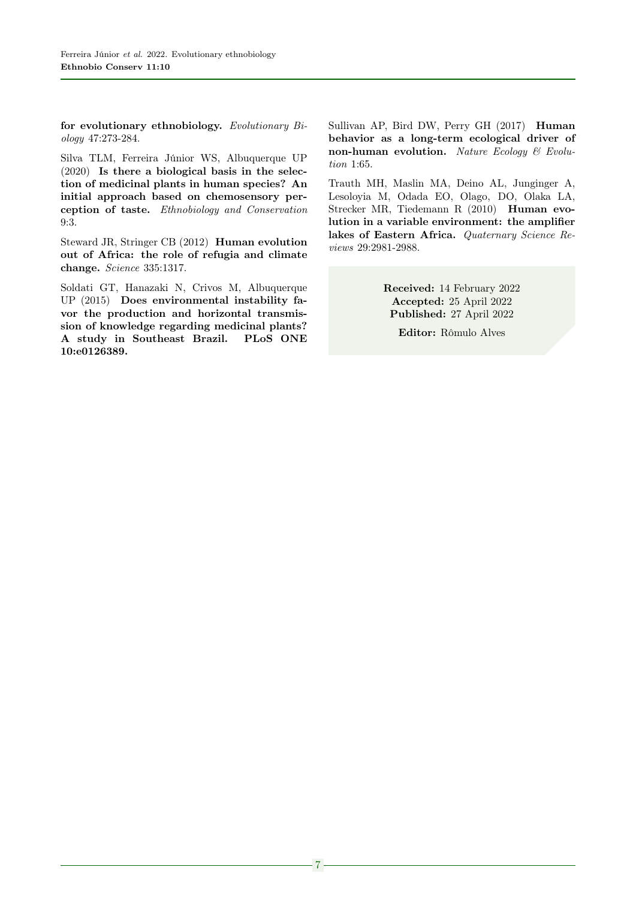for evolutionary ethnobiology. Evolutionary Biology 47:273-284.

Silva TLM, Ferreira Júnior WS, Albuquerque UP (2020) Is there a biological basis in the selection of medicinal plants in human species? An initial approach based on chemosensory perception of taste. Ethnobiology and Conservation 9:3.

Steward JR, Stringer CB (2012) Human evolution out of Africa: the role of refugia and climate change. Science 335:1317.

Soldati GT, Hanazaki N, Crivos M, Albuquerque UP (2015) Does environmental instability favor the production and horizontal transmission of knowledge regarding medicinal plants? A study in Southeast Brazil. PLoS ONE 10:e0126389.

Sullivan AP, Bird DW, Perry GH (2017) Human behavior as a long-term ecological driver of non-human evolution. Nature Ecology  $\mathcal C$  Evolution 1:65.

Trauth MH, Maslin MA, Deino AL, Junginger A, Lesoloyia M, Odada EO, Olago, DO, Olaka LA, Strecker MR, Tiedemann R (2010) Human evolution in a variable environment: the amplifier lakes of Eastern Africa. Quaternary Science Reviews 29:2981-2988.

> Received: 14 February 2022 Accepted: 25 April 2022 Published: 27 April 2022

Editor: Rômulo Alves